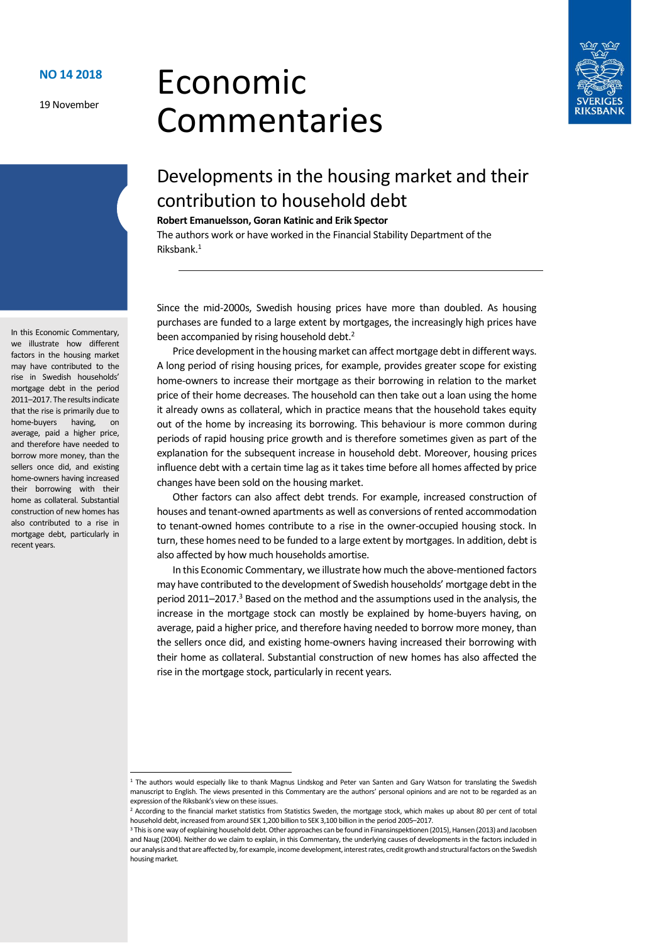19 November

# Economic Commentaries



# Developments in the housing market and their contribution to household debt

**Robert Emanuelsson, Goran Katinic and Erik Spector**

The authors work or have worked in the Financial Stability Department of the Riksbank.<sup>1</sup>

Since the mid-2000s, Swedish housing prices have more than doubled. As housing purchases are funded to a large extent by mortgages, the increasingly high prices have been accompanied by rising household debt.<sup>2</sup>

Price development in the housing market can affect mortgage debt in different ways. A long period of rising housing prices, for example, provides greater scope for existing home-owners to increase their mortgage as their borrowing in relation to the market price of their home decreases. The household can then take out a loan using the home it already owns as collateral, which in practice means that the household takes equity out of the home by increasing its borrowing. This behaviour is more common during periods of rapid housing price growth and is therefore sometimes given as part of the explanation for the subsequent increase in household debt. Moreover, housing prices influence debt with a certain time lag as it takes time before all homes affected by price changes have been sold on the housing market.

Other factors can also affect debt trends. For example, increased construction of houses and tenant-owned apartments as well as conversions of rented accommodation to tenant-owned homes contribute to a rise in the owner-occupied housing stock. In turn, these homes need to be funded to a large extent by mortgages. In addition, debt is also affected by how much households amortise.

In this Economic Commentary, we illustrate how much the above-mentioned factors may have contributed to the development of Swedish households' mortgage debt in the period 2011–2017.<sup>3</sup> Based on the method and the assumptions used in the analysis, the increase in the mortgage stock can mostly be explained by home-buyers having, on average, paid a higher price, and therefore having needed to borrow more money, than the sellers once did, and existing home-owners having increased their borrowing with their home as collateral. Substantial construction of new homes has also affected the rise in the mortgage stock, particularly in recent years.

In this Economic Commentary, we illustrate how different factors in the housing market may have contributed to the rise in Swedish households' mortgage debt in the period 2011–2017. The results indicate that the rise is primarily due to home-buyers having, on average, paid a higher price, and therefore have needed to borrow more money, than the sellers once did, and existing home-owners having increased their borrowing with their home as collateral. Substantial construction of new homes has also contributed to a rise in mortgage debt, particularly in recent years.

1

<sup>&</sup>lt;sup>1</sup> The authors would especially like to thank Magnus Lindskog and Peter van Santen and Gary Watson for translating the Swedish manuscript to English. The views presented in this Commentary are the authors' personal opinions and are not to be regarded as an expression of the Riksbank's view on these issues.

<sup>&</sup>lt;sup>2</sup> According to the financial market statistics from Statistics Sweden, the mortgage stock, which makes up about 80 per cent of total household debt, increased from around SEK 1,200 billion to SEK 3,100 billion in the period 2005–2017.

<sup>&</sup>lt;sup>3</sup> This is one way of explaining household debt. Other approaches can be found in Finansinspektionen (2015), Hansen (2013) and Jacobsen and Naug (2004). Neither do we claim to explain, in this Commentary, the underlying causes of developments in the factors included in our analysis and that are affected by, for example, income development, interest rates, credit growth and structural factors on the Swedish housing market.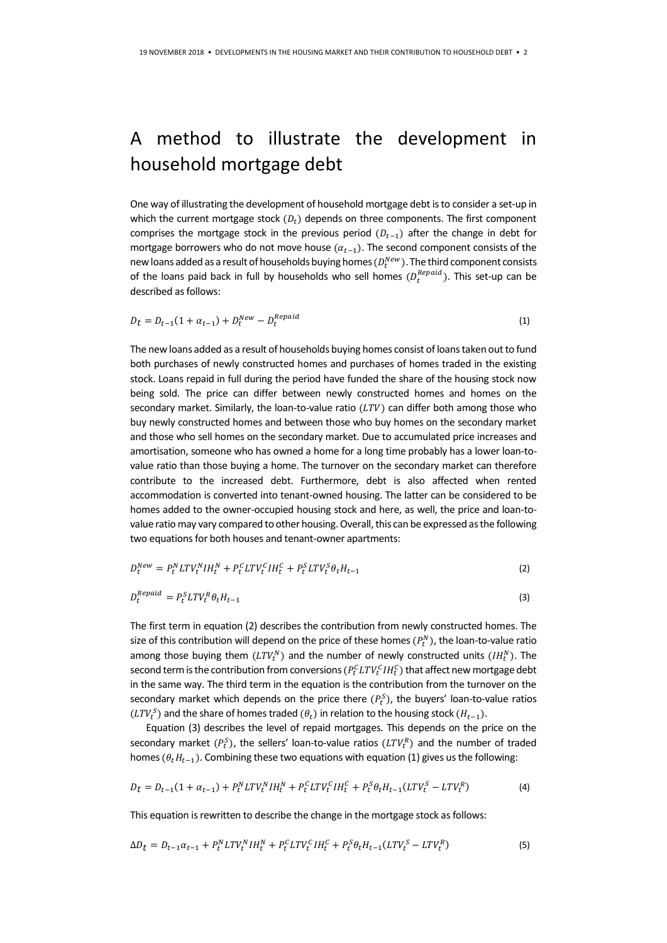# A method to illustrate the development in household mortgage debt

One way of illustrating the development of household mortgage debt is to consider a set-up in which the current mortgage stock  $(D_t)$  depends on three components. The first component comprises the mortgage stock in the previous period  $(D_{t-1})$  after the change in debt for mortgage borrowers who do not move house  $(\alpha_{t-1})$ . The second component consists of the new loans added as a result of households buying homes  $(D_t^{New})$ . The third component consists of the loans paid back in full by households who sell homes  $(D_t^{Repaid})$ . This set-up can be described as follows:

$$
D_t = D_{t-1}(1 + \alpha_{t-1}) + D_t^{New} - D_t^{Required}
$$
\n<sup>(1)</sup>

The new loans added as a result of households buying homes consist of loans taken out to fund both purchases of newly constructed homes and purchases of homes traded in the existing stock. Loans repaid in full during the period have funded the share of the housing stock now being sold. The price can differ between newly constructed homes and homes on the secondary market. Similarly, the loan-to-value ratio ( $LTV$ ) can differ both among those who buy newly constructed homes and between those who buy homes on the secondary market and those who sell homes on the secondary market. Due to accumulated price increases and amortisation, someone who has owned a home for a long time probably has a lower loan-tovalue ratio than those buying a home. The turnover on the secondary market can therefore contribute to the increased debt. Furthermore, debt is also affected when rented accommodation is converted into tenant-owned housing. The latter can be considered to be homes added to the owner-occupied housing stock and here, as well, the price and loan-tovalue ratio may vary compared to other housing. Overall, this can be expressed as the following two equations for both houses and tenant-owner apartments:

$$
D_t^{New} = P_t^N L T V_t^N I H_t^N + P_t^C L T V_t^C I H_t^C + P_t^S L T V_t^S \theta_t H_{t-1}
$$
\n<sup>(2)</sup>

$$
D_t^{Required} = P_t^S L T V_t^R \theta_t H_{t-1}
$$
\n<sup>(3)</sup>

The first term in equation (2) describes the contribution from newly constructed homes. The size of this contribution will depend on the price of these homes  $(P_t^N)$ , the loan-to-value ratio among those buying them  $(LTV_t^N)$  and the number of newly constructed units  $(IH_t^N)$ . The second term is the contribution from conversions  $(P_t^{\mathcal{C}} LTV_t^{\mathcal{C}} IH_t^{\mathcal{C}})$  that affect new mortgage debt in the same way. The third term in the equation is the contribution from the turnover on the secondary market which depends on the price there  $(P_t^S)$ , the buyers' loan-to-value ratios  $(LTV_t^S)$  and the share of homes traded  $(\theta_t)$  in relation to the housing stock  $(H_{t-1})$ .

Equation (3) describes the level of repaid mortgages. This depends on the price on the secondary market  $(P_t^S)$ , the sellers' loan-to-value ratios  $(LTV_t^R)$  and the number of traded homes ( $\theta_t H_{t-1}$ ). Combining these two equations with equation (1) gives us the following:

$$
D_t = D_{t-1}(1 + \alpha_{t-1}) + P_t^N L T V_t^N I H_t^N + P_t^C L T V_t^C I H_t^C + P_t^S \theta_t H_{t-1}(L T V_t^S - L T V_t^R)
$$
(4)

This equation is rewritten to describe the change in the mortgage stock as follows:

$$
\Delta D_t = D_{t-1} \alpha_{t-1} + P_t^N L T V_t^N I H_t^N + P_t^C L T V_t^C I H_t^C + P_t^S \theta_t H_{t-1} (L T V_t^S - L T V_t^R) \tag{5}
$$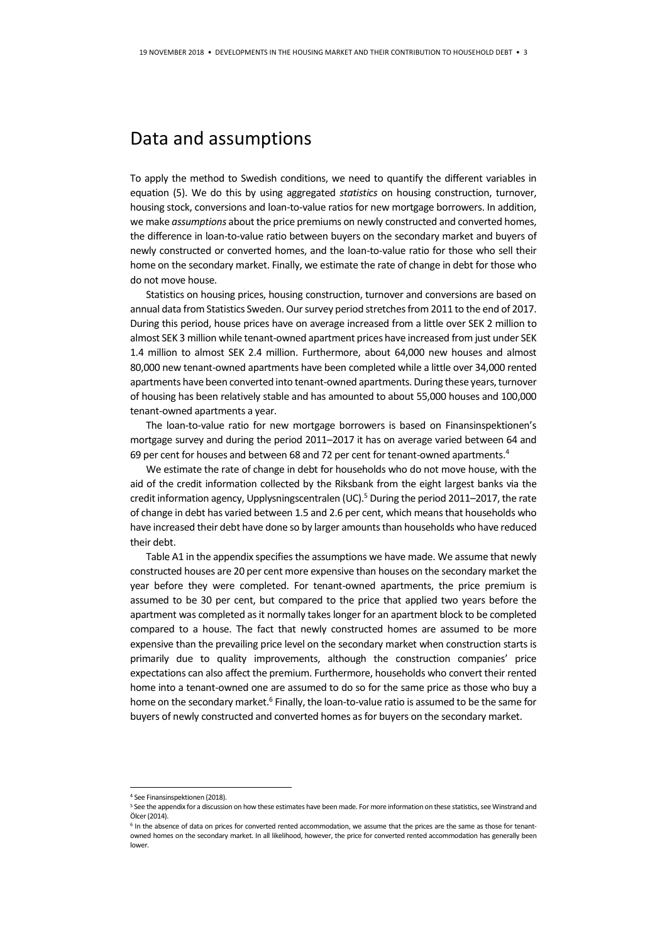### Data and assumptions

To apply the method to Swedish conditions, we need to quantify the different variables in equation (5). We do this by using aggregated *statistics* on housing construction, turnover, housing stock, conversions and loan-to-value ratios for new mortgage borrowers. In addition, we make *assumptions* about the price premiums on newly constructed and converted homes, the difference in loan-to-value ratio between buyers on the secondary market and buyers of newly constructed or converted homes, and the loan-to-value ratio for those who sell their home on the secondary market. Finally, we estimate the rate of change in debt for those who do not move house.

Statistics on housing prices, housing construction, turnover and conversions are based on annual data from Statistics Sweden. Our survey period stretches from 2011 to the end of 2017. During this period, house prices have on average increased from a little over SEK 2 million to almost SEK 3 million while tenant-owned apartment prices have increased from just under SEK 1.4 million to almost SEK 2.4 million. Furthermore, about 64,000 new houses and almost 80,000 new tenant-owned apartments have been completed while a little over 34,000 rented apartments have been converted into tenant-owned apartments. During these years, turnover of housing has been relatively stable and has amounted to about 55,000 houses and 100,000 tenant-owned apartments a year.

The loan-to-value ratio for new mortgage borrowers is based on Finansinspektionen's mortgage survey and during the period 2011–2017 it has on average varied between 64 and 69 per cent for houses and between 68 and 72 per cent for tenant-owned apartments.<sup>4</sup>

We estimate the rate of change in debt for households who do not move house, with the aid of the credit information collected by the Riksbank from the eight largest banks via the credit information agency, Upplysningscentralen (UC).<sup>5</sup> During the period 2011–2017, the rate of change in debt has varied between 1.5 and 2.6 per cent, which means that households who have increased their debt have done so by larger amounts than households who have reduced their debt.

Table A1 in the appendix specifies the assumptions we have made. We assume that newly constructed houses are 20 per cent more expensive than houses on the secondary market the year before they were completed. For tenant-owned apartments, the price premium is assumed to be 30 per cent, but compared to the price that applied two years before the apartment was completed as it normally takes longer for an apartment block to be completed compared to a house. The fact that newly constructed homes are assumed to be more expensive than the prevailing price level on the secondary market when construction starts is primarily due to quality improvements, although the construction companies' price expectations can also affect the premium. Furthermore, households who convert their rented home into a tenant-owned one are assumed to do so for the same price as those who buy a home on the secondary market.<sup>6</sup> Finally, the loan-to-value ratio is assumed to be the same for buyers of newly constructed and converted homes as for buyers on the secondary market.

1

<sup>4</sup> See Finansinspektionen (2018).

<sup>5</sup> See the appendix for a discussion on how these estimates have been made. For more information on these statistics, see Winstrand and Ölcer (2014).

<sup>&</sup>lt;sup>6</sup> In the absence of data on prices for converted rented accommodation, we assume that the prices are the same as those for tenantowned homes on the secondary market. In all likelihood, however, the price for converted rented accommodation has generally been lower.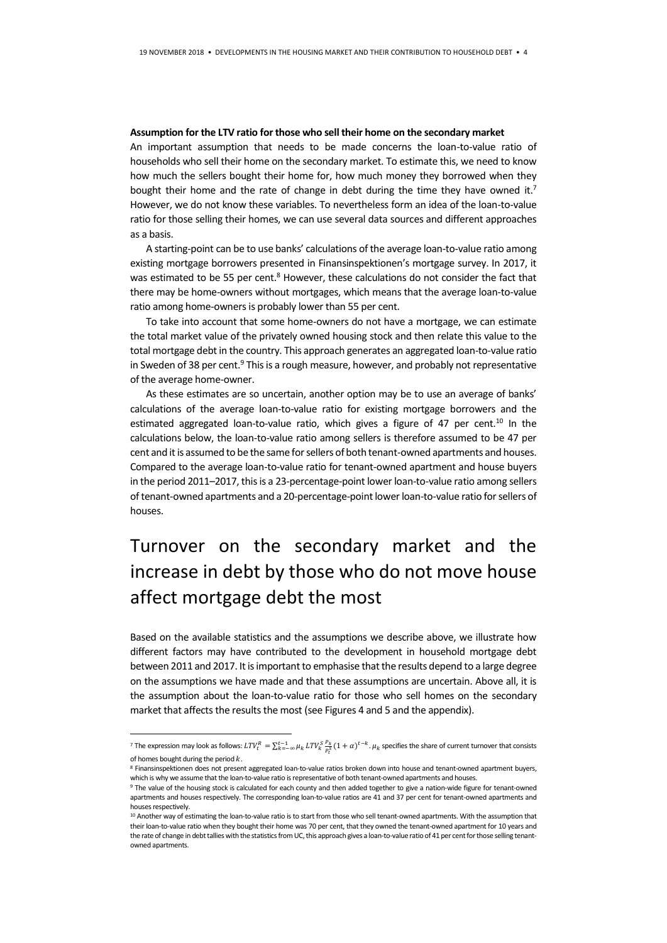#### **Assumption for the LTV ratio for those who sell their home on the secondary market**

An important assumption that needs to be made concerns the loan-to-value ratio of households who sell their home on the secondary market. To estimate this, we need to know how much the sellers bought their home for, how much money they borrowed when they bought their home and the rate of change in debt during the time they have owned it.<sup>7</sup> However, we do not know these variables. To nevertheless form an idea of the loan-to-value ratio for those selling their homes, we can use several data sources and different approaches as a basis.

A starting-point can be to use banks' calculations of the average loan-to-value ratio among existing mortgage borrowers presented in Finansinspektionen's mortgage survey. In 2017, it was estimated to be 55 per cent.<sup>8</sup> However, these calculations do not consider the fact that there may be home-owners without mortgages, which means that the average loan-to-value ratio among home-owners is probably lower than 55 per cent.

To take into account that some home-owners do not have a mortgage, we can estimate the total market value of the privately owned housing stock and then relate this value to the total mortgage debt in the country. This approach generates an aggregated loan-to-value ratio in Sweden of 38 per cent.<sup>9</sup> This is a rough measure, however, and probably not representative of the average home-owner.

As these estimates are so uncertain, another option may be to use an average of banks' calculations of the average loan-to-value ratio for existing mortgage borrowers and the estimated aggregated loan-to-value ratio, which gives a figure of 47 per cent.<sup>10</sup> In the calculations below, the loan-to-value ratio among sellers is therefore assumed to be 47 per cent and it is assumed to be the same for sellers of both tenant-owned apartments and houses. Compared to the average loan-to-value ratio for tenant-owned apartment and house buyers in the period 2011–2017, this is a 23-percentage-point lower loan-to-value ratio among sellers of tenant-owned apartments and a 20-percentage-point lower loan-to-value ratio for sellers of houses.

# Turnover on the secondary market and the increase in debt by those who do not move house affect mortgage debt the most

Based on the available statistics and the assumptions we describe above, we illustrate how different factors may have contributed to the development in household mortgage debt between 2011 and 2017. It is important to emphasise that the results depend to a large degree on the assumptions we have made and that these assumptions are uncertain. Above all, it is the assumption about the loan-to-value ratio for those who sell homes on the secondary market that affects the results the most (see Figures 4 and 5 and the appendix).

**-**

<sup>&</sup>lt;sup>7</sup> The expression may look as follows:  $LTV_t^R = \sum_{k=-\infty}^{t-1} \mu_k$   $LTV_s^S \frac{P_k}{P_t^S} (1+\alpha)^{t-k}$ .  $\mu_k$  specifies the share of current turnover that consists of homes bought during the period  $k$ .

<sup>8</sup> Finansinspektionen does not present aggregated loan-to-value ratios broken down into house and tenant-owned apartment buyers, which is why we assume that the loan-to-value ratio is representative of both tenant-owned apartments and houses.

<sup>9</sup> The value of the housing stock is calculated for each county and then added together to give a nation-wide figure for tenant-owned apartments and houses respectively. The corresponding loan-to-value ratios are 41 and 37 per cent for tenant-owned apartments and houses respectively.

<sup>&</sup>lt;sup>10</sup> Another way of estimating the loan-to-value ratio is to start from those who sell tenant-owned apartments. With the assumption that their loan-to-value ratio when they bought their home was 70 per cent, that they owned the tenant-owned apartment for 10 years and the rate of change in debt tallies with the statistics from UC, this approach gives a loan-to-value ratio of 41 per cent for those selling tenantowned apartments.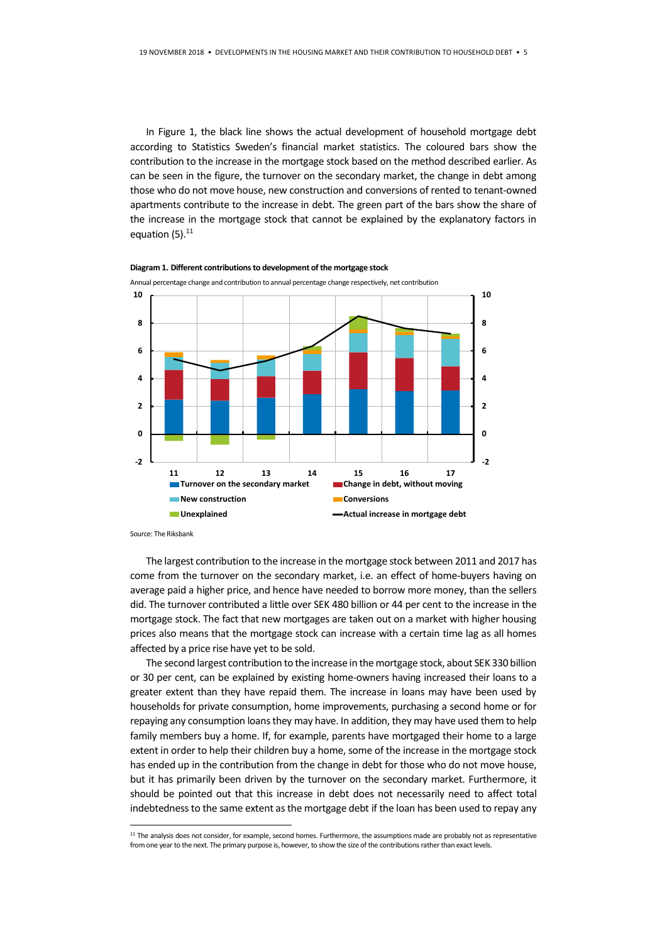In Figure 1, the black line shows the actual development of household mortgage debt according to Statistics Sweden's financial market statistics. The coloured bars show the contribution to the increase in the mortgage stock based on the method described earlier. As can be seen in the figure, the turnover on the secondary market, the change in debt among those who do not move house, new construction and conversions of rented to tenant-owned apartments contribute to the increase in debt. The green part of the bars show the share of the increase in the mortgage stock that cannot be explained by the explanatory factors in equation (5).<sup>11</sup>



**Diagram 1. Different contributions to development of the mortgage stock**

Source: The Riksbank

1

The largest contribution to the increase in the mortgage stock between 2011 and 2017 has come from the turnover on the secondary market, i.e. an effect of home-buyers having on average paid a higher price, and hence have needed to borrow more money, than the sellers did. The turnover contributed a little over SEK 480 billion or 44 per cent to the increase in the mortgage stock. The fact that new mortgages are taken out on a market with higher housing prices also means that the mortgage stock can increase with a certain time lag as all homes affected by a price rise have yet to be sold.

The second largest contribution to the increase in the mortgage stock, about SEK 330 billion or 30 per cent, can be explained by existing home-owners having increased their loans to a greater extent than they have repaid them. The increase in loans may have been used by households for private consumption, home improvements, purchasing a second home or for repaying any consumption loans they may have. In addition, they may have used them to help family members buy a home. If, for example, parents have mortgaged their home to a large extent in order to help their children buy a home, some of the increase in the mortgage stock has ended up in the contribution from the change in debt for those who do not move house, but it has primarily been driven by the turnover on the secondary market. Furthermore, it should be pointed out that this increase in debt does not necessarily need to affect total indebtedness to the same extent as the mortgage debt if the loan has been used to repay any

<sup>&</sup>lt;sup>11</sup> The analysis does not consider, for example, second homes. Furthermore, the assumptions made are probably not as representative from one year to the next. The primary purpose is, however, to show the size of the contributions rather than exact levels.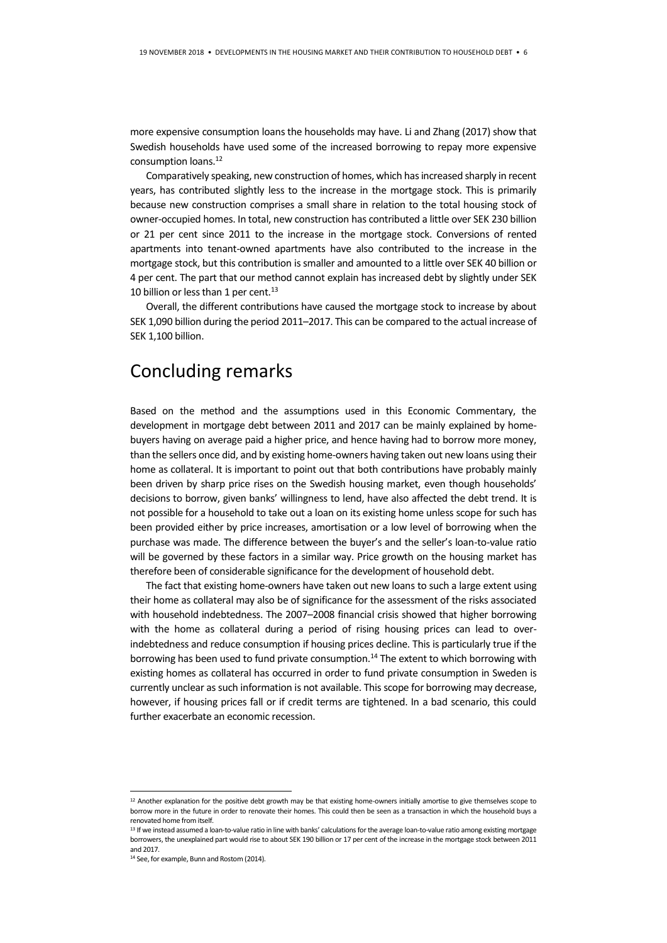more expensive consumption loans the households may have. Li and Zhang (2017) show that Swedish households have used some of the increased borrowing to repay more expensive consumption loans.<sup>12</sup>

Comparatively speaking, new construction of homes, which has increased sharply in recent years, has contributed slightly less to the increase in the mortgage stock. This is primarily because new construction comprises a small share in relation to the total housing stock of owner-occupied homes. In total, new construction has contributed a little over SEK 230 billion or 21 per cent since 2011 to the increase in the mortgage stock. Conversions of rented apartments into tenant-owned apartments have also contributed to the increase in the mortgage stock, but this contribution is smaller and amounted to a little over SEK 40 billion or 4 per cent. The part that our method cannot explain has increased debt by slightly under SEK 10 billion or less than 1 per cent. $13$ 

Overall, the different contributions have caused the mortgage stock to increase by about SEK 1,090 billion during the period 2011–2017. This can be compared to the actual increase of SEK 1,100 billion.

### Concluding remarks

Based on the method and the assumptions used in this Economic Commentary, the development in mortgage debt between 2011 and 2017 can be mainly explained by homebuyers having on average paid a higher price, and hence having had to borrow more money, than the sellers once did, and by existing home-owners having taken out new loans using their home as collateral. It is important to point out that both contributions have probably mainly been driven by sharp price rises on the Swedish housing market, even though households' decisions to borrow, given banks' willingness to lend, have also affected the debt trend. It is not possible for a household to take out a loan on its existing home unless scope for such has been provided either by price increases, amortisation or a low level of borrowing when the purchase was made. The difference between the buyer's and the seller's loan-to-value ratio will be governed by these factors in a similar way. Price growth on the housing market has therefore been of considerable significance for the development of household debt.

The fact that existing home-owners have taken out new loans to such a large extent using their home as collateral may also be of significance for the assessment of the risks associated with household indebtedness. The 2007–2008 financial crisis showed that higher borrowing with the home as collateral during a period of rising housing prices can lead to overindebtedness and reduce consumption if housing prices decline. This is particularly true if the borrowing has been used to fund private consumption.<sup>14</sup> The extent to which borrowing with existing homes as collateral has occurred in order to fund private consumption in Sweden is currently unclear as such information is not available. This scope for borrowing may decrease, however, if housing prices fall or if credit terms are tightened. In a bad scenario, this could further exacerbate an economic recession.

**-**

<sup>&</sup>lt;sup>12</sup> Another explanation for the positive debt growth may be that existing home-owners initially amortise to give themselves scope to borrow more in the future in order to renovate their homes. This could then be seen as a transaction in which the household buys a renovated home from itself.

<sup>13</sup> If we instead assumed a loan-to-value ratio in line with banks' calculations for the average loan-to-value ratio among existing mortgage borrowers, the unexplained part would rise to about SEK 190 billion or 17 per cent of the increase in the mortgage stock between 2011 and 2017.

<sup>14</sup> See, for example, Bunn and Rostom (2014).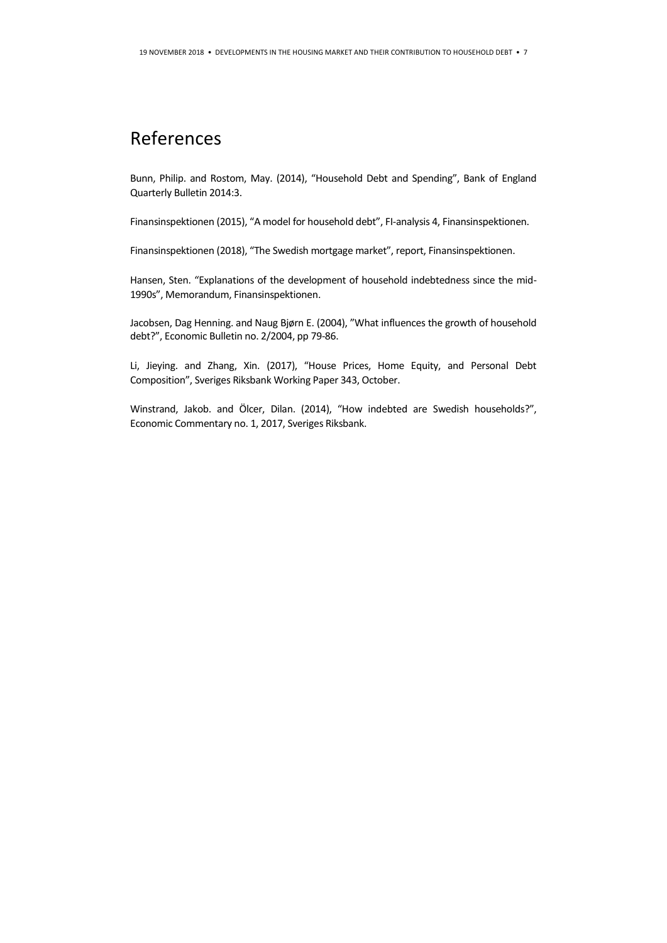### References

Bunn, Philip. and Rostom, May. (2014), "Household Debt and Spending", Bank of England Quarterly Bulletin 2014:3.

Finansinspektionen (2015), "A model for household debt", FI-analysis 4, Finansinspektionen.

Finansinspektionen (2018), "The Swedish mortgage market", report, Finansinspektionen.

Hansen, Sten. "Explanations of the development of household indebtedness since the mid-1990s", Memorandum, Finansinspektionen.

Jacobsen, Dag Henning. and Naug Bjørn E. (2004), "What influences the growth of household debt?", Economic Bulletin no. 2/2004, pp 79-86.

Li, Jieying. and Zhang, Xin. (2017), "House Prices, Home Equity, and Personal Debt Composition", Sveriges Riksbank Working Paper 343, October.

Winstrand, Jakob. and Ölcer, Dilan. (2014), "How indebted are Swedish households?", Economic Commentary no. 1, 2017, Sveriges Riksbank.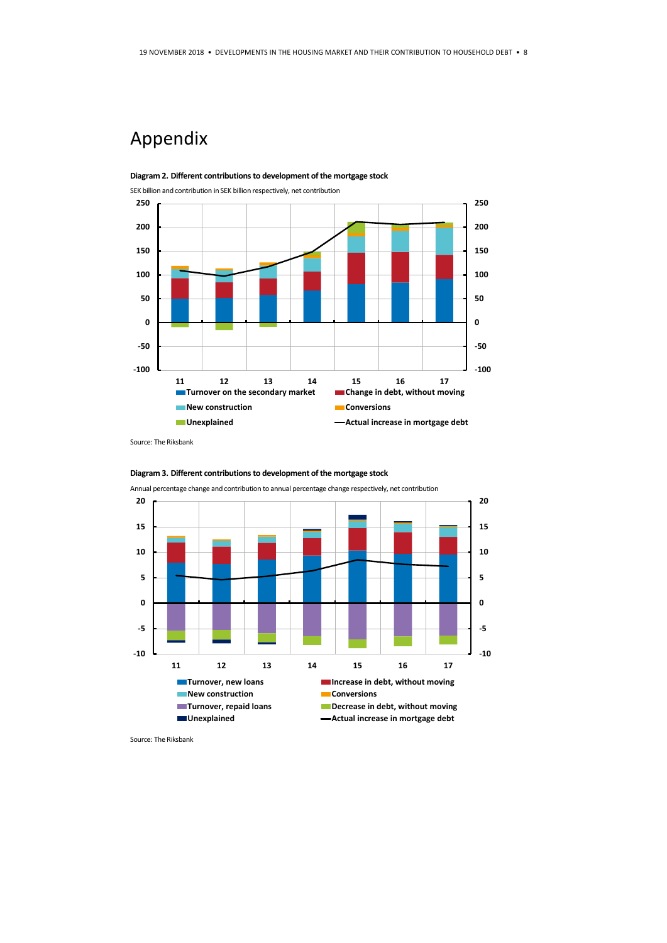# Appendix



Source: The Riksbank



**Diagram 3. Different contributions to development of the mortgage stock**

Source: The Riksbank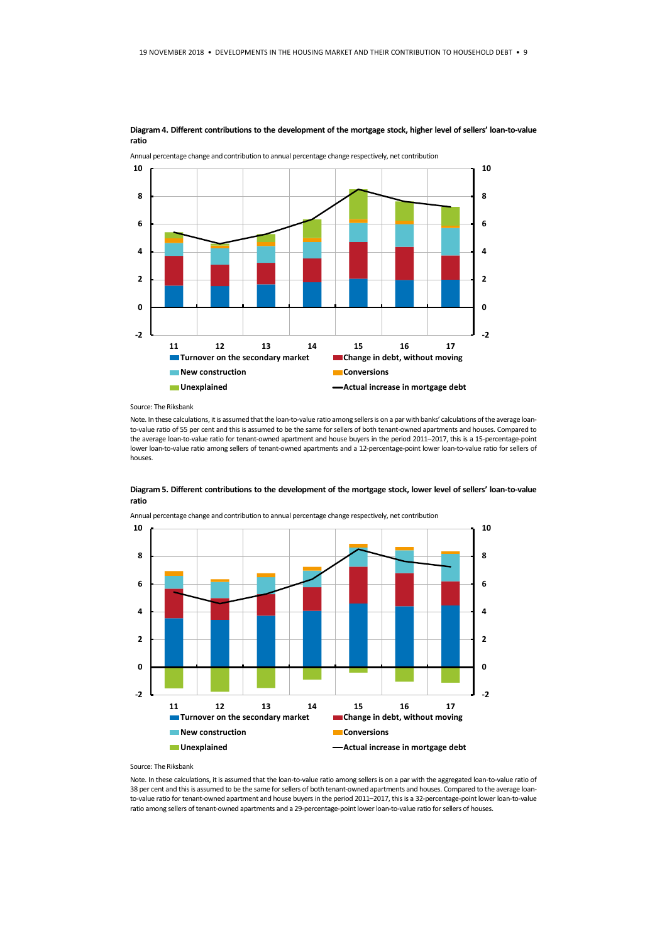

**Diagram 4. Different contributions to the development of the mortgage stock, higher level of sellers' loan-to-value ratio**

Source: The Riksbank

**ratio**

Note. In these calculations, it is assumed that the loan-to-value ratio among sellers is on a par with banks' calculations of the average loanto-value ratio of 55 per cent and this is assumed to be the same for sellers of both tenant-owned apartments and houses. Compared to the average loan-to-value ratio for tenant-owned apartment and house buyers in the period 2011–2017, this is a 15-percentage-point lower loan-to-value ratio among sellers of tenant-owned apartments and a 12-percentage-point lower loan-to-value ratio for sellers of houses.

**Diagram 5. Different contributions to the development of the mortgage stock, lower level of sellers' loan-to-value** 





#### Source: The Riksbank

Note. In these calculations, it is assumed that the loan-to-value ratio among sellers is on a par with the aggregated loan-to-value ratio of 38 per cent and this is assumed to be the same for sellers of both tenant-owned apartments and houses. Compared to the average loanto-value ratio for tenant-owned apartment and house buyers in the period 2011–2017, this is a 32-percentage-point lower loan-to-value ratio among sellers of tenant-owned apartments and a 29-percentage-point lower loan-to-value ratio for sellers of houses.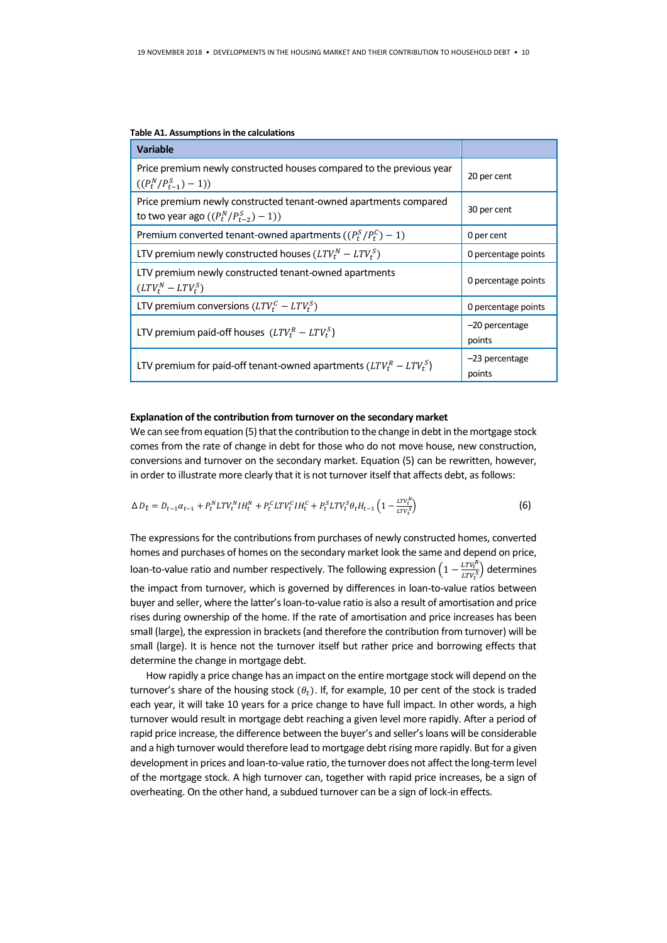| <b>Variable</b>                                                                                                |                            |
|----------------------------------------------------------------------------------------------------------------|----------------------------|
| Price premium newly constructed houses compared to the previous year<br>$((P_t^N/P_{t-1}^S)-1))$               | 20 per cent                |
| Price premium newly constructed tenant-owned apartments compared<br>to two year ago $((P_t^N/P_{t-2}^S) - 1))$ | 30 per cent                |
| Premium converted tenant-owned apartments $((P_t^S/P_t^C) - 1)$                                                | 0 per cent                 |
| LTV premium newly constructed houses $(LTV_t^N - LTV_s^S)$                                                     | 0 percentage points        |
| LTV premium newly constructed tenant-owned apartments<br>$(LTV_t^N - LTV_t^S)$                                 | 0 percentage points        |
| LTV premium conversions $(LTV_t^C - LTV_t^S)$                                                                  | 0 percentage points        |
| LTV premium paid-off houses $(LTV_t^R - LTV_s^S)$                                                              | $-20$ percentage<br>points |
| LTV premium for paid-off tenant-owned apartments $(LTV_t^R - LTV_s^S)$                                         | $-23$ percentage<br>points |

### **Table A1. Assumptions in the calculations**

### **Explanation of the contribution from turnover on the secondary market**

We can see from equation (5) that the contribution to the change in debt in the mortgage stock comes from the rate of change in debt for those who do not move house, new construction, conversions and turnover on the secondary market. Equation (5) can be rewritten, however, in order to illustrate more clearly that it is not turnover itself that affects debt, as follows:

$$
\Delta D_t = D_{t-1} \alpha_{t-1} + P_t^N L T V_t^N H_t^N + P_t^C L T V_t^C H_t^C + P_t^S L T V_t^S \theta_t H_{t-1} \left( 1 - \frac{L T V_t^S}{L T V_t^S} \right) \tag{6}
$$

 $\overline{D}$ 

The expressions for the contributions from purchases of newly constructed homes, converted homes and purchases of homes on the secondary market look the same and depend on price, loan-to-value ratio and number respectively. The following expression  $\left(1 - \frac{LTV_t^H}{TVt^S}\right)$  $\frac{LIV_t}{LTV_t^S}$ ) determines the impact from turnover, which is governed by differences in loan-to-value ratios between buyer and seller, where the latter's loan-to-value ratio is also a result of amortisation and price rises during ownership of the home. If the rate of amortisation and price increases has been small (large), the expression in brackets (and therefore the contribution from turnover) will be small (large). It is hence not the turnover itself but rather price and borrowing effects that determine the change in mortgage debt.

How rapidly a price change has an impact on the entire mortgage stock will depend on the turnover's share of the housing stock  $(\theta_t)$ . If, for example, 10 per cent of the stock is traded each year, it will take 10 years for a price change to have full impact. In other words, a high turnover would result in mortgage debt reaching a given level more rapidly. After a period of rapid price increase, the difference between the buyer's and seller's loans will be considerable and a high turnover would therefore lead to mortgage debt rising more rapidly. But for a given development in prices and loan-to-value ratio, the turnover does not affect the long-term level of the mortgage stock. A high turnover can, together with rapid price increases, be a sign of overheating. On the other hand, a subdued turnover can be a sign of lock-in effects.